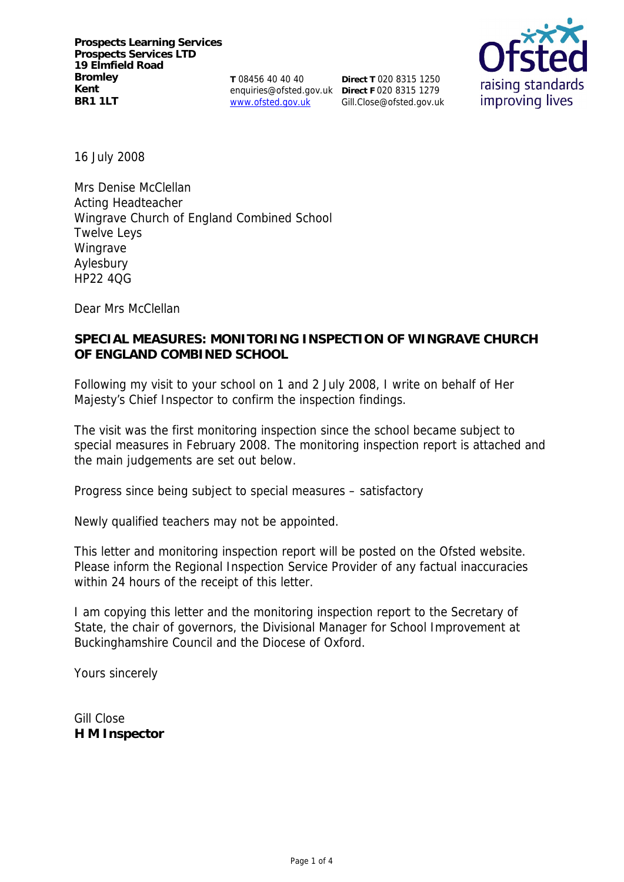**T** 08456 40 40 40 www.ofsted.gov.uk

enquiries@ofsted.gov.uk **Direct F** 020 8315 1279 **Direct T** 020 8315 1250 Gill.Close@ofsted.gov.uk



16 July 2008

Mrs Denise McClellan Acting Headteacher Wingrave Church of England Combined School Twelve Leys Wingrave Aylesbury HP22 4QG

Dear Mrs McClellan

# **SPECIAL MEASURES: MONITORING INSPECTION OF WINGRAVE CHURCH OF ENGLAND COMBINED SCHOOL**

Following my visit to your school on 1 and 2 July 2008, I write on behalf of Her Majesty's Chief Inspector to confirm the inspection findings.

The visit was the first monitoring inspection since the school became subject to special measures in February 2008. The monitoring inspection report is attached and the main judgements are set out below.

Progress since being subject to special measures – satisfactory

Newly qualified teachers may not be appointed.

This letter and monitoring inspection report will be posted on the Ofsted website. Please inform the Regional Inspection Service Provider of any factual inaccuracies within 24 hours of the receipt of this letter.

I am copying this letter and the monitoring inspection report to the Secretary of State, the chair of governors, the Divisional Manager for School Improvement at Buckinghamshire Council and the Diocese of Oxford.

Yours sincerely

Gill Close **H M Inspector**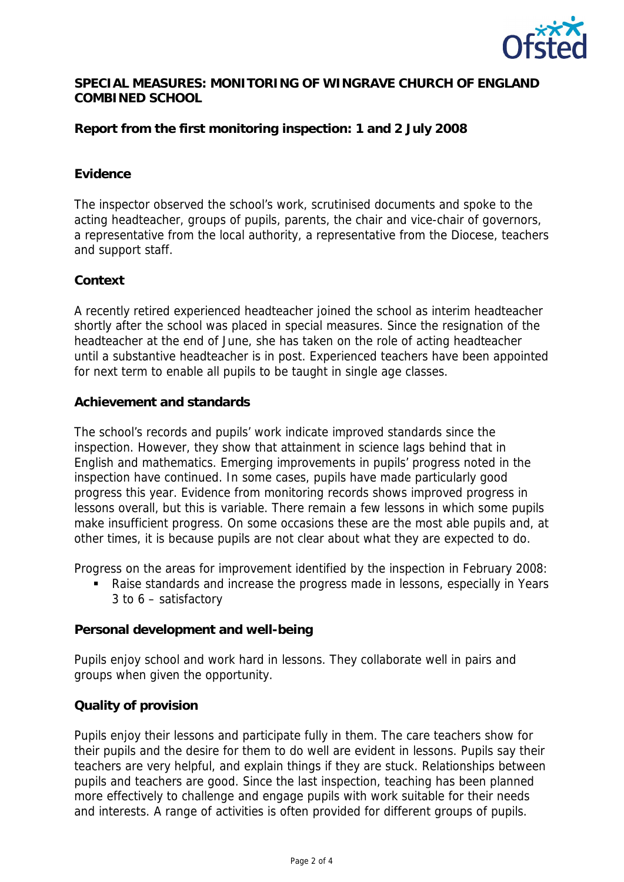

# **SPECIAL MEASURES: MONITORING OF WINGRAVE CHURCH OF ENGLAND COMBINED SCHOOL**

**Report from the first monitoring inspection: 1 and 2 July 2008**

## **Evidence**

The inspector observed the school's work, scrutinised documents and spoke to the acting headteacher, groups of pupils, parents, the chair and vice-chair of governors, a representative from the local authority, a representative from the Diocese, teachers and support staff.

#### **Context**

A recently retired experienced headteacher joined the school as interim headteacher shortly after the school was placed in special measures. Since the resignation of the headteacher at the end of June, she has taken on the role of acting headteacher until a substantive headteacher is in post. Experienced teachers have been appointed for next term to enable all pupils to be taught in single age classes.

#### **Achievement and standards**

The school's records and pupils' work indicate improved standards since the inspection. However, they show that attainment in science lags behind that in English and mathematics. Emerging improvements in pupils' progress noted in the inspection have continued. In some cases, pupils have made particularly good progress this year. Evidence from monitoring records shows improved progress in lessons overall, but this is variable. There remain a few lessons in which some pupils make insufficient progress. On some occasions these are the most able pupils and, at other times, it is because pupils are not clear about what they are expected to do.

Progress on the areas for improvement identified by the inspection in February 2008:

 Raise standards and increase the progress made in lessons, especially in Years 3 to 6 – satisfactory

**Personal development and well-being**

Pupils enjoy school and work hard in lessons. They collaborate well in pairs and groups when given the opportunity.

## **Quality of provision**

Pupils enjoy their lessons and participate fully in them. The care teachers show for their pupils and the desire for them to do well are evident in lessons. Pupils say their teachers are very helpful, and explain things if they are stuck. Relationships between pupils and teachers are good. Since the last inspection, teaching has been planned more effectively to challenge and engage pupils with work suitable for their needs and interests. A range of activities is often provided for different groups of pupils.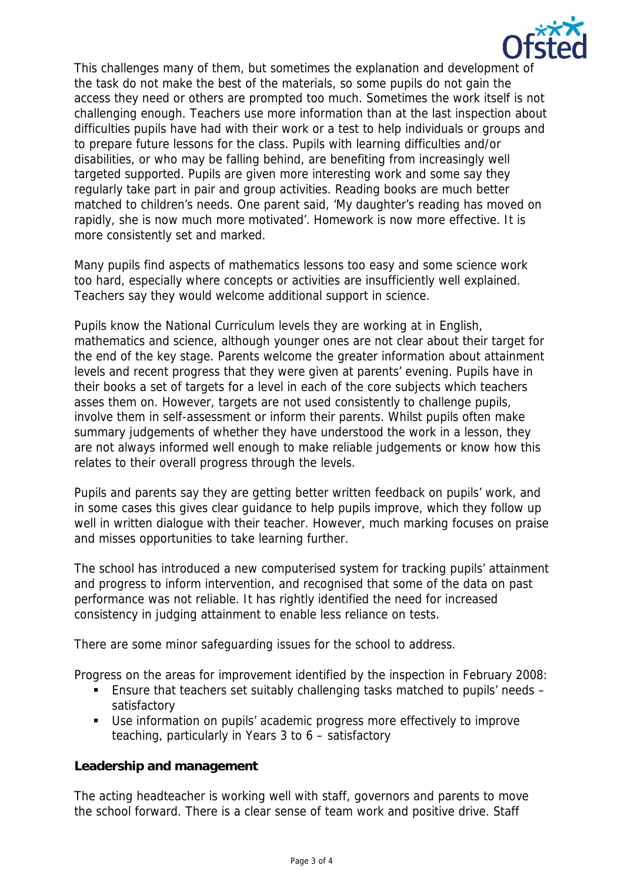

This challenges many of them, but sometimes the explanation and development of the task do not make the best of the materials, so some pupils do not gain the access they need or others are prompted too much. Sometimes the work itself is not challenging enough. Teachers use more information than at the last inspection about difficulties pupils have had with their work or a test to help individuals or groups and to prepare future lessons for the class. Pupils with learning difficulties and/or disabilities, or who may be falling behind, are benefiting from increasingly well targeted supported. Pupils are given more interesting work and some say they regularly take part in pair and group activities. Reading books are much better matched to children's needs. One parent said, 'My daughter's reading has moved on rapidly, she is now much more motivated'. Homework is now more effective. It is more consistently set and marked.

Many pupils find aspects of mathematics lessons too easy and some science work too hard, especially where concepts or activities are insufficiently well explained. Teachers say they would welcome additional support in science.

Pupils know the National Curriculum levels they are working at in English, mathematics and science, although younger ones are not clear about their target for the end of the key stage. Parents welcome the greater information about attainment levels and recent progress that they were given at parents' evening. Pupils have in their books a set of targets for a level in each of the core subjects which teachers asses them on. However, targets are not used consistently to challenge pupils, involve them in self-assessment or inform their parents. Whilst pupils often make summary judgements of whether they have understood the work in a lesson, they are not always informed well enough to make reliable judgements or know how this relates to their overall progress through the levels.

Pupils and parents say they are getting better written feedback on pupils' work, and in some cases this gives clear guidance to help pupils improve, which they follow up well in written dialogue with their teacher. However, much marking focuses on praise and misses opportunities to take learning further.

The school has introduced a new computerised system for tracking pupils' attainment and progress to inform intervention, and recognised that some of the data on past performance was not reliable. It has rightly identified the need for increased consistency in judging attainment to enable less reliance on tests.

There are some minor safeguarding issues for the school to address.

Progress on the areas for improvement identified by the inspection in February 2008:

- Ensure that teachers set suitably challenging tasks matched to pupils' needs satisfactory
- Use information on pupils' academic progress more effectively to improve teaching, particularly in Years 3 to 6 – satisfactory

# **Leadership and management**

The acting headteacher is working well with staff, governors and parents to move the school forward. There is a clear sense of team work and positive drive. Staff